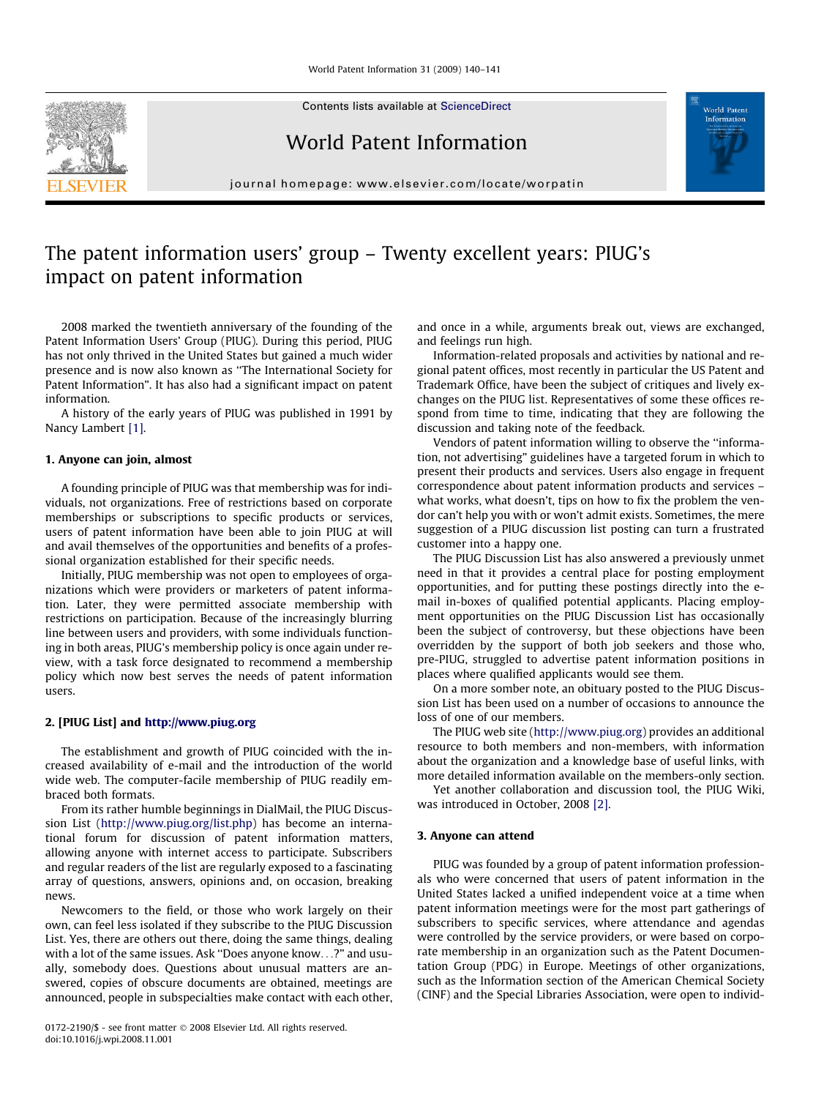Contents lists available at [ScienceDirect](http://www.sciencedirect.com/science/journal/01722190)

World Patent Information

journal homepage: [www.elsevier.com/locate/worpatin](http://www.elsevier.com/locate/worpatin)



# The patent information users' group – Twenty excellent years: PIUG's impact on patent information

2008 marked the twentieth anniversary of the founding of the Patent Information Users' Group (PIUG). During this period, PIUG has not only thrived in the United States but gained a much wider presence and is now also known as ''The International Society for Patent Information". It has also had a significant impact on patent information.

A history of the early years of PIUG was published in 1991 by Nancy Lambert [\[1\].](#page-1-0)

### 1. Anyone can join, almost

A founding principle of PIUG was that membership was for individuals, not organizations. Free of restrictions based on corporate memberships or subscriptions to specific products or services, users of patent information have been able to join PIUG at will and avail themselves of the opportunities and benefits of a professional organization established for their specific needs.

Initially, PIUG membership was not open to employees of organizations which were providers or marketers of patent information. Later, they were permitted associate membership with restrictions on participation. Because of the increasingly blurring line between users and providers, with some individuals functioning in both areas, PIUG's membership policy is once again under review, with a task force designated to recommend a membership policy which now best serves the needs of patent information users.

## 2. [PIUG List] and <http://www.piug.org>

The establishment and growth of PIUG coincided with the increased availability of e-mail and the introduction of the world wide web. The computer-facile membership of PIUG readily embraced both formats.

From its rather humble beginnings in DialMail, the PIUG Discussion List (<http://www.piug.org/list.php>) has become an international forum for discussion of patent information matters, allowing anyone with internet access to participate. Subscribers and regular readers of the list are regularly exposed to a fascinating array of questions, answers, opinions and, on occasion, breaking news.

Newcomers to the field, or those who work largely on their own, can feel less isolated if they subscribe to the PIUG Discussion List. Yes, there are others out there, doing the same things, dealing with a lot of the same issues. Ask ''Does anyone know...?" and usually, somebody does. Questions about unusual matters are answered, copies of obscure documents are obtained, meetings are announced, people in subspecialties make contact with each other, and once in a while, arguments break out, views are exchanged, and feelings run high.

Information-related proposals and activities by national and regional patent offices, most recently in particular the US Patent and Trademark Office, have been the subject of critiques and lively exchanges on the PIUG list. Representatives of some these offices respond from time to time, indicating that they are following the discussion and taking note of the feedback.

Vendors of patent information willing to observe the ''information, not advertising" guidelines have a targeted forum in which to present their products and services. Users also engage in frequent correspondence about patent information products and services – what works, what doesn't, tips on how to fix the problem the vendor can't help you with or won't admit exists. Sometimes, the mere suggestion of a PIUG discussion list posting can turn a frustrated customer into a happy one.

The PIUG Discussion List has also answered a previously unmet need in that it provides a central place for posting employment opportunities, and for putting these postings directly into the email in-boxes of qualified potential applicants. Placing employment opportunities on the PIUG Discussion List has occasionally been the subject of controversy, but these objections have been overridden by the support of both job seekers and those who, pre-PIUG, struggled to advertise patent information positions in places where qualified applicants would see them.

On a more somber note, an obituary posted to the PIUG Discussion List has been used on a number of occasions to announce the loss of one of our members.

The PIUG web site (<http://www.piug.org>) provides an additional resource to both members and non-members, with information about the organization and a knowledge base of useful links, with more detailed information available on the members-only section.

Yet another collaboration and discussion tool, the PIUG Wiki, was introduced in October, 2008 [\[2\].](#page-1-0)

#### 3. Anyone can attend

PIUG was founded by a group of patent information professionals who were concerned that users of patent information in the United States lacked a unified independent voice at a time when patent information meetings were for the most part gatherings of subscribers to specific services, where attendance and agendas were controlled by the service providers, or were based on corporate membership in an organization such as the Patent Documentation Group (PDG) in Europe. Meetings of other organizations, such as the Information section of the American Chemical Society (CINF) and the Special Libraries Association, were open to individ-